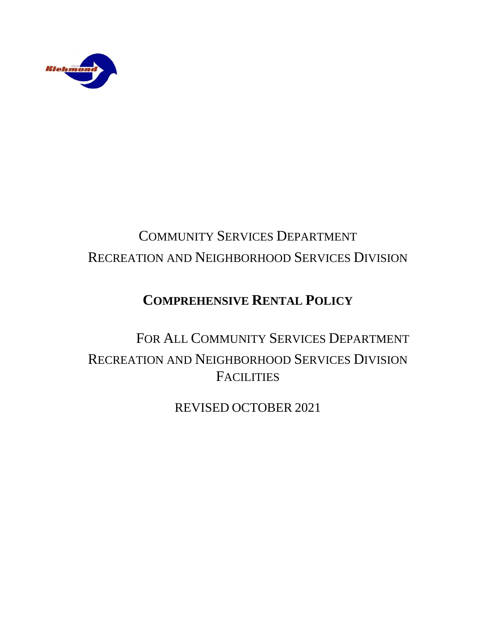

# COMMUNITY SERVICES DEPARTMENT RECREATION AND NEIGHBORHOOD SERVICES DIVISION

# **COMPREHENSIVE RENTAL POLICY**

# FOR ALL COMMUNITY SERVICES DEPARTMENT RECREATION AND NEIGHBORHOOD SERVICES DIVISION **FACILITIES**

REVISED OCTOBER 2021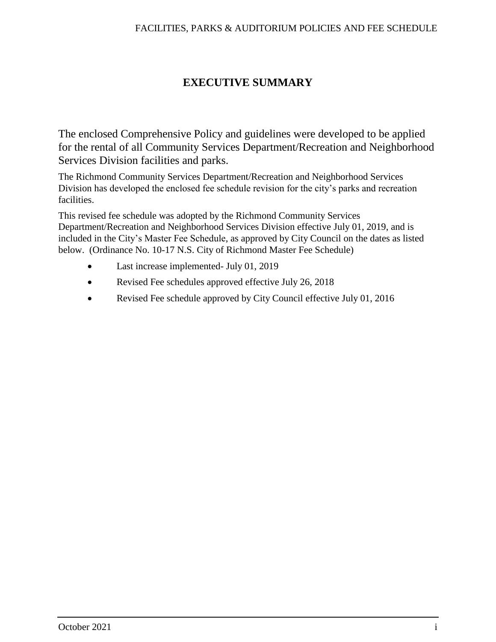# FACILITIES, PARKS & AUDITORIUM POLICIES AND FEE SCHEDULE

# **EXECUTIVE SUMMARY**

The enclosed Comprehensive Policy and guidelines were developed to be applied for the rental of all Community Services Department/Recreation and Neighborhood Services Division facilities and parks.

The Richmond Community Services Department/Recreation and Neighborhood Services Division has developed the enclosed fee schedule revision for the city's parks and recreation facilities.

This revised fee schedule was adopted by the Richmond Community Services Department/Recreation and Neighborhood Services Division effective July 01, 2019, and is included in the City's Master Fee Schedule, as approved by City Council on the dates as listed below. (Ordinance No. 10-17 N.S. City of Richmond Master Fee Schedule)

- Last increase implemented- July 01, 2019
- Revised Fee schedules approved effective July 26, 2018
- Revised Fee schedule approved by City Council effective July 01, 2016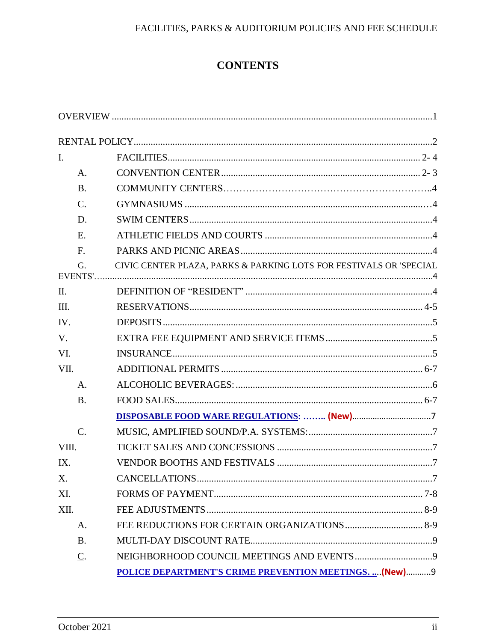# FACILITIES, PARKS & AUDITORIUM POLICIES AND FEE SCHEDULE

# **CONTENTS**

| I.                    |                                                                    |
|-----------------------|--------------------------------------------------------------------|
| A.                    |                                                                    |
| <b>B.</b>             |                                                                    |
| $\mathcal{C}$ .       |                                                                    |
| D.                    |                                                                    |
| E.                    |                                                                    |
| F.                    |                                                                    |
| G.<br><b>EVENTS'.</b> | CIVIC CENTER PLAZA, PARKS & PARKING LOTS FOR FESTIVALS OR 'SPECIAL |
| $\Pi$ .               |                                                                    |
| III.                  |                                                                    |
| IV.                   |                                                                    |
| $V_{\cdot}$           |                                                                    |
| VI.                   |                                                                    |
| VII.                  |                                                                    |
| A.                    |                                                                    |
| <b>B.</b>             |                                                                    |
|                       |                                                                    |
| $\mathcal{C}$ .       |                                                                    |
| VIII.                 |                                                                    |
| IX.                   |                                                                    |
| X.                    |                                                                    |
| XI.                   |                                                                    |
| XII.                  |                                                                    |
| A.                    |                                                                    |
| <b>B.</b>             |                                                                    |
| $\underline{C}$ .     |                                                                    |
|                       | POLICE DEPARTMENT'S CRIME PREVENTION MEETINGS.  (New) 9            |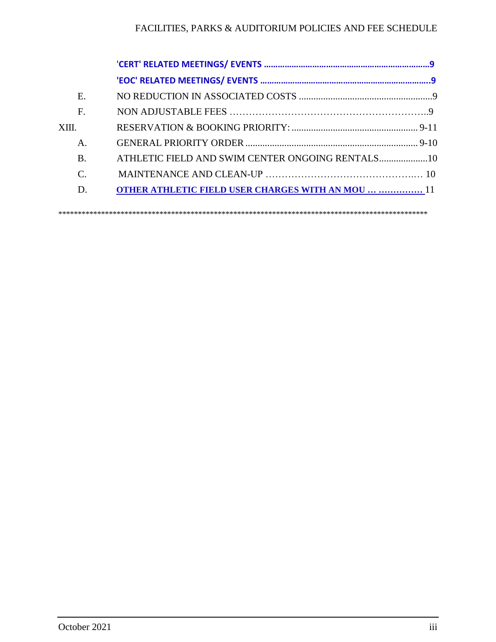# FACILITIES, PARKS & AUDITORIUM POLICIES AND FEE SCHEDULE

| Е.            |                                                           |  |
|---------------|-----------------------------------------------------------|--|
| F.            |                                                           |  |
| XIII.         |                                                           |  |
| Α.            |                                                           |  |
| <b>B</b> .    |                                                           |  |
| $\mathcal{C}$ |                                                           |  |
| D.            | <b>OTHER ATHLETIC FIELD USER CHARGES WITH AN MOU   11</b> |  |
|               |                                                           |  |

\*\*\*\*\*\*\*\*\*\*\*\*\*\*\*\*\*\*\*\*\*\*\*\*\*\*\*\*\*\*\*\*\*\*\*\*\*\*\*\*\*\*\*\*\*\*\*\*\*\*\*\*\*\*\*\*\*\*\*\*\*\*\*\*\*\*\*\*\*\*\*\*\*\*\*\*\*\*\*\*\*\*\*\*\*\*\*\*\*\*\*\*\*\*\*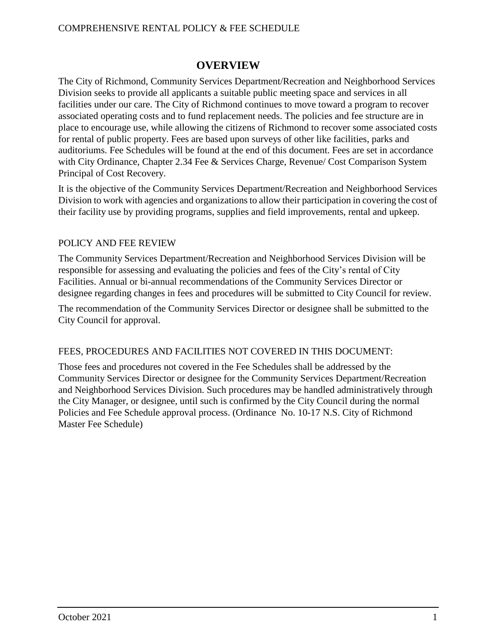### COMPREHENSIVE RENTAL POLICY & FEE SCHEDULE

# **OVERVIEW**

<span id="page-4-0"></span>The City of Richmond, Community Services Department/Recreation and Neighborhood Services Division seeks to provide all applicants a suitable public meeting space and services in all facilities under our care. The City of Richmond continues to move toward a program to recover associated operating costs and to fund replacement needs. The policies and fee structure are in place to encourage use, while allowing the citizens of Richmond to recover some associated costs for rental of public property. Fees are based upon surveys of other like facilities, parks and auditoriums. Fee Schedules will be found at the end of this document. Fees are set in accordance with City Ordinance, Chapter 2.34 Fee & Services Charge, Revenue/ Cost Comparison System Principal of Cost Recovery.

It is the objective of the Community Services Department/Recreation and Neighborhood Services Division to work with agencies and organizations to allow their participation in covering the cost of their facility use by providing programs, supplies and field improvements, rental and upkeep.

# POLICY AND FEE REVIEW

The Community Services Department/Recreation and Neighborhood Services Division will be responsible for assessing and evaluating the policies and fees of the City's rental of City Facilities. Annual or bi-annual recommendations of the Community Services Director or designee regarding changes in fees and procedures will be submitted to City Council for review.

The recommendation of the Community Services Director or designee shall be submitted to the City Council for approval.

# FEES, PROCEDURES AND FACILITIES NOT COVERED IN THIS DOCUMENT:

Those fees and procedures not covered in the Fee Schedules shall be addressed by the Community Services Director or designee for the Community Services Department/Recreation and Neighborhood Services Division. Such procedures may be handled administratively through the City Manager, or designee, until such is confirmed by the City Council during the normal Policies and Fee Schedule approval process. (Ordinance No. 10-17 N.S. City of Richmond Master Fee Schedule)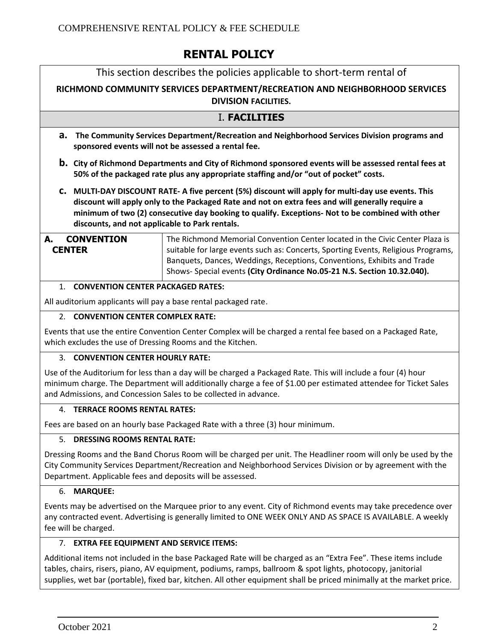# **RENTAL POLICY**

# This section describes the policies applicable to short-term rental of

# <span id="page-5-0"></span>**RICHMOND COMMUNITY SERVICES DEPARTMENT/RECREATION AND NEIGHBORHOOD SERVICES DIVISION FACILITIES.**

# I. **FACILITIES**

- **a. The Community Services Department/Recreation and Neighborhood Services Division programs and sponsored events will not be assessed a rental fee.**
- **b. City of Richmond Departments and City of Richmond sponsored events will be assessed rental fees at 50% of the packaged rate plus any appropriate staffing and/or "out of pocket" costs.**
- **c. MULTI-DAY DISCOUNT RATE- A five percent (5%) discount will apply for multi-day use events. This discount will apply only to the Packaged Rate and not on extra fees and will generally require a minimum of two (2) consecutive day booking to qualify. Exceptions- Not to be combined with other discounts, and not applicable to Park rentals.**

#### **A. CONVENTION CENTER** The Richmond Memorial Convention Center located in the Civic Center Plaza is suitable for large events such as: Concerts, Sporting Events, Religious Programs, Banquets, Dances, Weddings, Receptions, Conventions, Exhibits and Trade Shows- Special events **(City Ordinance No.05-21 N.S. Section 10.32.040).**

#### 1. **CONVENTION CENTER PACKAGED RATES:**

All auditorium applicants will pay a base rental packaged rate.

#### 2. **CONVENTION CENTER COMPLEX RATE:**

Events that use the entire Convention Center Complex will be charged a rental fee based on a Packaged Rate, which excludes the use of Dressing Rooms and the Kitchen.

#### 3. **CONVENTION CENTER HOURLY RATE:**

Use of the Auditorium for less than a day will be charged a Packaged Rate. This will include a four (4) hour minimum charge. The Department will additionally charge a fee of \$1.00 per estimated attendee for Ticket Sales and Admissions, and Concession Sales to be collected in advance.

#### 4. **TERRACE ROOMS RENTAL RATES:**

Fees are based on an hourly base Packaged Rate with a three (3) hour minimum.

#### 5. **DRESSING ROOMS RENTAL RATE:**

Dressing Rooms and the Band Chorus Room will be charged per unit. The Headliner room will only be used by the City Community Services Department/Recreation and Neighborhood Services Division or by agreement with the Department. Applicable fees and deposits will be assessed.

#### 6. **MARQUEE:**

Events may be advertised on the Marquee prior to any event. City of Richmond events may take precedence over any contracted event. Advertising is generally limited to ONE WEEK ONLY AND AS SPACE IS AVAILABLE. A weekly fee will be charged.

#### 7. **EXTRA FEE EQUIPMENT AND SERVICE ITEMS:**

Additional items not included in the base Packaged Rate will be charged as an "Extra Fee". These items include tables, chairs, risers, piano, AV equipment, podiums, ramps, ballroom & spot lights, photocopy, janitorial supplies, wet bar (portable), fixed bar, kitchen. All other equipment shall be priced minimally at the market price.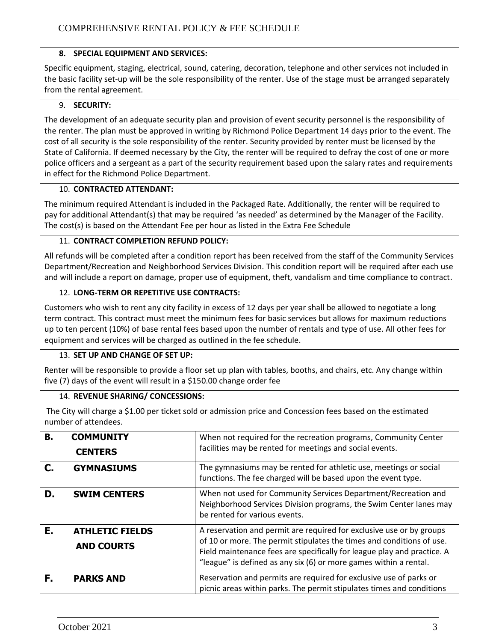#### **8. SPECIAL EQUIPMENT AND SERVICES:**

Specific equipment, staging, electrical, sound, catering, decoration, telephone and other services not included in the basic facility set-up will be the sole responsibility of the renter. Use of the stage must be arranged separately from the rental agreement.

#### 9. **SECURITY:**

The development of an adequate security plan and provision of event security personnel is the responsibility of the renter. The plan must be approved in writing by Richmond Police Department 14 days prior to the event. The cost of all security is the sole responsibility of the renter. Security provided by renter must be licensed by the State of California. If deemed necessary by the City, the renter will be required to defray the cost of one or more police officers and a sergeant as a part of the security requirement based upon the salary rates and requirements in effect for the Richmond Police Department.

#### 10. **CONTRACTED ATTENDANT:**

The minimum required Attendant is included in the Packaged Rate. Additionally, the renter will be required to pay for additional Attendant(s) that may be required 'as needed' as determined by the Manager of the Facility. The cost(s) is based on the Attendant Fee per hour as listed in the Extra Fee Schedule

#### 11. **CONTRACT COMPLETION REFUND POLICY:**

All refunds will be completed after a condition report has been received from the staff of the Community Services Department/Recreation and Neighborhood Services Division. This condition report will be required after each use and will include a report on damage, proper use of equipment, theft, vandalism and time compliance to contract.

#### 12. **LONG-TERM OR REPETITIVE USE CONTRACTS:**

Customers who wish to rent any city facility in excess of 12 days per year shall be allowed to negotiate a long term contract. This contract must meet the minimum fees for basic services but allows for maximum reductions up to ten percent (10%) of base rental fees based upon the number of rentals and type of use. All other fees for equipment and services will be charged as outlined in the fee schedule.

#### 13. **SET UP AND CHANGE OF SET UP:**

Renter will be responsible to provide a floor set up plan with tables, booths, and chairs, etc. Any change within five (7) days of the event will result in a \$150.00 change order fee

#### 14. **REVENUE SHARING/ CONCESSIONS:**

The City will charge a \$1.00 per ticket sold or admission price and Concession fees based on the estimated number of attendees.

| В. | <b>COMMUNITY</b><br><b>CENTERS</b>          | When not required for the recreation programs, Community Center<br>facilities may be rented for meetings and social events.                                                                                                                                                                   |
|----|---------------------------------------------|-----------------------------------------------------------------------------------------------------------------------------------------------------------------------------------------------------------------------------------------------------------------------------------------------|
|    | <b>GYMNASIUMS</b>                           | The gymnasiums may be rented for athletic use, meetings or social<br>functions. The fee charged will be based upon the event type.                                                                                                                                                            |
| D. | <b>SWIM CENTERS</b>                         | When not used for Community Services Department/Recreation and<br>Neighborhood Services Division programs, the Swim Center lanes may<br>be rented for various events.                                                                                                                         |
| Е. | <b>ATHLETIC FIELDS</b><br><b>AND COURTS</b> | A reservation and permit are required for exclusive use or by groups<br>of 10 or more. The permit stipulates the times and conditions of use.<br>Field maintenance fees are specifically for league play and practice. A<br>"league" is defined as any six (6) or more games within a rental. |
| F. | <b>PARKS AND</b>                            | Reservation and permits are required for exclusive use of parks or<br>picnic areas within parks. The permit stipulates times and conditions                                                                                                                                                   |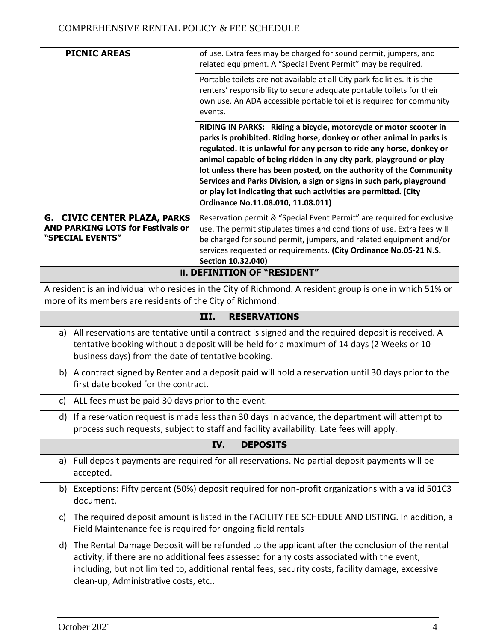| <b>PICNIC AREAS</b>                                                                                                                                                                                                                                                                                                                                                                                                                                                                                                                                  | of use. Extra fees may be charged for sound permit, jumpers, and<br>related equipment. A "Special Event Permit" may be required.                                                                                                                                                                                                             |  |  |  |
|------------------------------------------------------------------------------------------------------------------------------------------------------------------------------------------------------------------------------------------------------------------------------------------------------------------------------------------------------------------------------------------------------------------------------------------------------------------------------------------------------------------------------------------------------|----------------------------------------------------------------------------------------------------------------------------------------------------------------------------------------------------------------------------------------------------------------------------------------------------------------------------------------------|--|--|--|
|                                                                                                                                                                                                                                                                                                                                                                                                                                                                                                                                                      | Portable toilets are not available at all City park facilities. It is the<br>renters' responsibility to secure adequate portable toilets for their<br>own use. An ADA accessible portable toilet is required for community<br>events.                                                                                                        |  |  |  |
| RIDING IN PARKS: Riding a bicycle, motorcycle or motor scooter in<br>parks is prohibited. Riding horse, donkey or other animal in parks is<br>regulated. It is unlawful for any person to ride any horse, donkey or<br>animal capable of being ridden in any city park, playground or play<br>lot unless there has been posted, on the authority of the Community<br>Services and Parks Division, a sign or signs in such park, playground<br>or play lot indicating that such activities are permitted. (City<br>Ordinance No.11.08.010, 11.08.011) |                                                                                                                                                                                                                                                                                                                                              |  |  |  |
| G. CIVIC CENTER PLAZA, PARKS<br>Reservation permit & "Special Event Permit" are required for exclusive<br><b>AND PARKING LOTS for Festivals or</b><br>use. The permit stipulates times and conditions of use. Extra fees will<br>"SPECIAL EVENTS"<br>be charged for sound permit, jumpers, and related equipment and/or<br>services requested or requirements. (City Ordinance No.05-21 N.S.<br>Section 10.32.040)                                                                                                                                   |                                                                                                                                                                                                                                                                                                                                              |  |  |  |
|                                                                                                                                                                                                                                                                                                                                                                                                                                                                                                                                                      | <b>II. DEFINITION OF "RESIDENT"</b>                                                                                                                                                                                                                                                                                                          |  |  |  |
| more of its members are residents of the City of Richmond.                                                                                                                                                                                                                                                                                                                                                                                                                                                                                           | A resident is an individual who resides in the City of Richmond. A resident group is one in which 51% or                                                                                                                                                                                                                                     |  |  |  |
|                                                                                                                                                                                                                                                                                                                                                                                                                                                                                                                                                      | III.<br><b>RESERVATIONS</b>                                                                                                                                                                                                                                                                                                                  |  |  |  |
| All reservations are tentative until a contract is signed and the required deposit is received. A<br>a)<br>tentative booking without a deposit will be held for a maximum of 14 days (2 Weeks or 10<br>business days) from the date of tentative booking.                                                                                                                                                                                                                                                                                            |                                                                                                                                                                                                                                                                                                                                              |  |  |  |
| b) A contract signed by Renter and a deposit paid will hold a reservation until 30 days prior to the<br>first date booked for the contract.                                                                                                                                                                                                                                                                                                                                                                                                          |                                                                                                                                                                                                                                                                                                                                              |  |  |  |
| C)                                                                                                                                                                                                                                                                                                                                                                                                                                                                                                                                                   | ALL fees must be paid 30 days prior to the event.                                                                                                                                                                                                                                                                                            |  |  |  |
|                                                                                                                                                                                                                                                                                                                                                                                                                                                                                                                                                      | d) If a reservation request is made less than 30 days in advance, the department will attempt to<br>process such requests, subject to staff and facility availability. Late fees will apply.                                                                                                                                                 |  |  |  |
| <b>DEPOSITS</b><br>IV.                                                                                                                                                                                                                                                                                                                                                                                                                                                                                                                               |                                                                                                                                                                                                                                                                                                                                              |  |  |  |
| Full deposit payments are required for all reservations. No partial deposit payments will be<br>a)<br>accepted.                                                                                                                                                                                                                                                                                                                                                                                                                                      |                                                                                                                                                                                                                                                                                                                                              |  |  |  |
| document.                                                                                                                                                                                                                                                                                                                                                                                                                                                                                                                                            | b) Exceptions: Fifty percent (50%) deposit required for non-profit organizations with a valid 501C3                                                                                                                                                                                                                                          |  |  |  |
| C)                                                                                                                                                                                                                                                                                                                                                                                                                                                                                                                                                   | The required deposit amount is listed in the FACILITY FEE SCHEDULE AND LISTING. In addition, a<br>Field Maintenance fee is required for ongoing field rentals                                                                                                                                                                                |  |  |  |
|                                                                                                                                                                                                                                                                                                                                                                                                                                                                                                                                                      | d) The Rental Damage Deposit will be refunded to the applicant after the conclusion of the rental<br>activity, if there are no additional fees assessed for any costs associated with the event,<br>including, but not limited to, additional rental fees, security costs, facility damage, excessive<br>clean-up, Administrative costs, etc |  |  |  |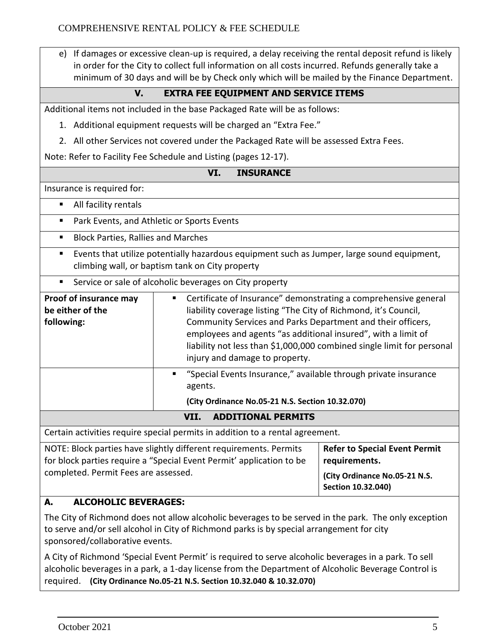e) If damages or excessive clean-up is required, a delay receiving the rental deposit refund is likely in order for the City to collect full information on all costs incurred. Refunds generally take a minimum of 30 days and will be by Check only which will be mailed by the Finance Department.

# **V. EXTRA FEE EQUIPMENT AND SERVICE ITEMS**

Additional items not included in the base Packaged Rate will be as follows:

- 1. Additional equipment requests will be charged an "Extra Fee."
- 2. All other Services not covered under the Packaged Rate will be assessed Extra Fees.

Note: Refer to Facility Fee Schedule and Listing (pages 12-17).

# **VI. INSURANCE**

Insurance is required for:

- **All facility rentals**
- **Park Events, and Athletic or Sports Events**
- Block Parties, Rallies and Marches
- Events that utilize potentially hazardous equipment such as Jumper, large sound equipment, climbing wall, or baptism tank on City property
- Service or sale of alcoholic beverages on City property

| Proof of insurance may<br>be either of the<br>following: | Certificate of Insurance" demonstrating a comprehensive general<br>liability coverage listing "The City of Richmond, it's Council,<br>Community Services and Parks Department and their officers,<br>employees and agents "as additional insured", with a limit of<br>liability not less than \$1,000,000 combined single limit for personal<br>injury and damage to property. |  |
|----------------------------------------------------------|--------------------------------------------------------------------------------------------------------------------------------------------------------------------------------------------------------------------------------------------------------------------------------------------------------------------------------------------------------------------------------|--|
|                                                          | "Special Events Insurance," available through private insurance<br>agents.<br>(City Ordinance No.05-21 N.S. Section 10.32.070)                                                                                                                                                                                                                                                 |  |
| VTT<br>ADDITIONAL DEDMITC                                |                                                                                                                                                                                                                                                                                                                                                                                |  |

**VII. ADDITIONAL PERMITS**

Certain activities require special permits in addition to a rental agreement.

| NOTE: Block parties have slightly different requirements. Permits    | <b>Refer to Special Event Permit</b> |
|----------------------------------------------------------------------|--------------------------------------|
| for block parties require a "Special Event Permit' application to be | requirements.                        |
| completed. Permit Fees are assessed.                                 | City Ordinance No.05-21 N.S.         |
|                                                                      | Section 10.32.040)                   |

# **A. ALCOHOLIC BEVERAGES:**

The City of Richmond does not allow alcoholic beverages to be served in the park. The only exception to serve and/or sell alcohol in City of Richmond parks is by special arrangement for city sponsored/collaborative events.

A City of Richmond 'Special Event Permit' is required to serve alcoholic beverages in a park. To sell alcoholic beverages in a park, a 1-day license from the Department of Alcoholic Beverage Control is required. **(City Ordinance No.05-21 N.S. Section 10.32.040 & 10.32.070)**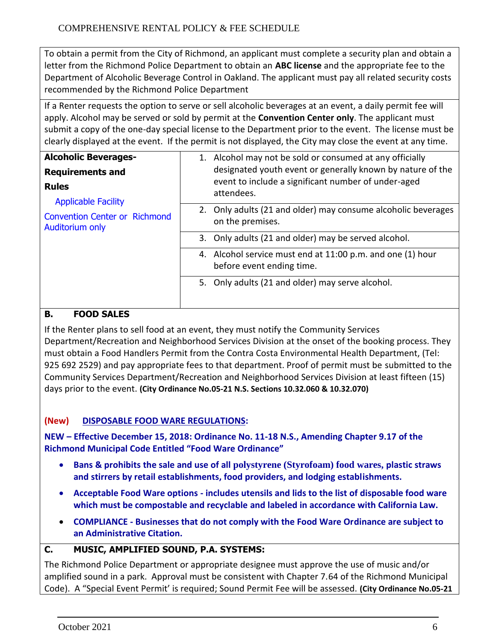To obtain a permit from the City of Richmond, an applicant must complete a security plan and obtain a letter from the Richmond Police Department to obtain an **ABC license** and the appropriate fee to the Department of Alcoholic Beverage Control in Oakland. The applicant must pay all related security costs recommended by the Richmond Police Department

If a Renter requests the option to serve or sell alcoholic beverages at an event, a daily permit fee will apply. Alcohol may be served or sold by permit at the **Convention Center only**. The applicant must submit a copy of the one-day special license to the Department prior to the event. The license must be clearly displayed at the event. If the permit is not displayed, the City may close the event at any time.

| <b>Alcoholic Beverages-</b><br><b>Requirements and</b><br><b>Rules</b><br><b>Applicable Facility</b> | Alcohol may not be sold or consumed at any officially<br>1.<br>designated youth event or generally known by nature of the<br>event to include a significant number of under-aged<br>attendees. |
|------------------------------------------------------------------------------------------------------|------------------------------------------------------------------------------------------------------------------------------------------------------------------------------------------------|
| <b>Convention Center or Richmond</b><br>Auditorium only                                              | Only adults (21 and older) may consume alcoholic beverages<br>2.<br>on the premises.                                                                                                           |
|                                                                                                      | 3. Only adults (21 and older) may be served alcohol.                                                                                                                                           |
|                                                                                                      | 4. Alcohol service must end at 11:00 p.m. and one (1) hour<br>before event ending time.                                                                                                        |
|                                                                                                      | 5. Only adults (21 and older) may serve alcohol.                                                                                                                                               |

# **B. FOOD SALES**

If the Renter plans to sell food at an event, they must notify the Community Services Department/Recreation and Neighborhood Services Division at the onset of the booking process. They must obtain a Food Handlers Permit from the Contra Costa Environmental Health Department, (Tel: 925 692 2529) and pay appropriate fees to that department. Proof of permit must be submitted to the Community Services Department/Recreation and Neighborhood Services Division at least fifteen (15) days prior to the event. **(City Ordinance No.05-21 N.S. Sections 10.32.060 & 10.32.070)**

# **(New) DISPOSABLE FOOD WARE REGULATIONS:**

**NEW – Effective December 15, 2018: Ordinance No. 11-18 N.S., Amending Chapter 9.17 of the Richmond Municipal Code Entitled "Food Ware Ordinance"**

- **Bans & prohibits the sale and use of all polystyrene (Styrofoam) food wares, plastic straws and stirrers by retail establishments, food providers, and lodging establishments.**
- **Acceptable Food Ware options - includes utensils and lids to the list of disposable food ware which must be compostable and recyclable and labeled in accordance with California Law.**
- **COMPLIANCE - Businesses that do not comply with the Food Ware Ordinance are subject to an Administrative Citation.**

# **C. MUSIC, AMPLIFIED SOUND, P.A. SYSTEMS:**

The Richmond Police Department or appropriate designee must approve the use of music and/or amplified sound in a park. Approval must be consistent with Chapter 7.64 of the Richmond Municipal Code). A "Special Event Permit' is required; Sound Permit Fee will be assessed. **(City Ordinance No.05-21**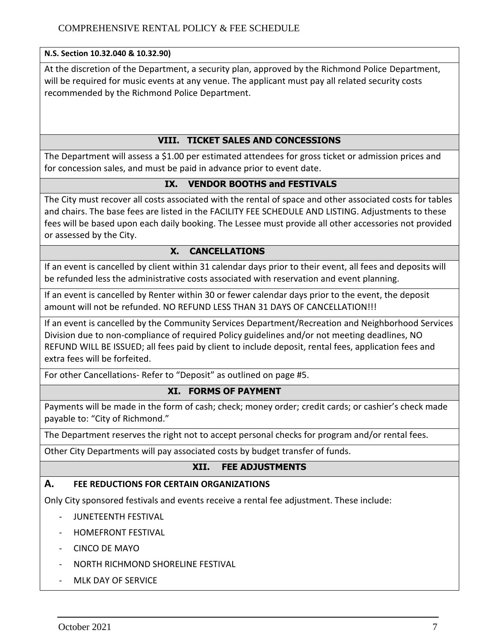**N.S. Section 10.32.040 & 10.32.90)**

At the discretion of the Department, a security plan, approved by the Richmond Police Department, will be required for music events at any venue. The applicant must pay all related security costs recommended by the Richmond Police Department.

# **VIII. TICKET SALES AND CONCESSIONS**

The Department will assess a \$1.00 per estimated attendees for gross ticket or admission prices and for concession sales, and must be paid in advance prior to event date.

# **IX. VENDOR BOOTHS and FESTIVALS**

The City must recover all costs associated with the rental of space and other associated costs for tables and chairs. The base fees are listed in the FACILITY FEE SCHEDULE AND LISTING. Adjustments to these fees will be based upon each daily booking. The Lessee must provide all other accessories not provided or assessed by the City.

# **X. CANCELLATIONS**

If an event is cancelled by client within 31 calendar days prior to their event, all fees and deposits will be refunded less the administrative costs associated with reservation and event planning.

If an event is cancelled by Renter within 30 or fewer calendar days prior to the event, the deposit amount will not be refunded. NO REFUND LESS THAN 31 DAYS OF CANCELLATION!!!

If an event is cancelled by the Community Services Department/Recreation and Neighborhood Services Division due to non-compliance of required Policy guidelines and/or not meeting deadlines, NO REFUND WILL BE ISSUED; all fees paid by client to include deposit, rental fees, application fees and extra fees will be forfeited.

For other Cancellations- Refer to "Deposit" as outlined on page #5.

# **XI. FORMS OF PAYMENT**

Payments will be made in the form of cash; check; money order; credit cards; or cashier's check made payable to: "City of Richmond."

The Department reserves the right not to accept personal checks for program and/or rental fees.

Other City Departments will pay associated costs by budget transfer of funds.

# **XII. FEE ADJUSTMENTS**

# **A. FEE REDUCTIONS FOR CERTAIN ORGANIZATIONS**

Only City sponsored festivals and events receive a rental fee adjustment. These include:

- JUNETEENTH FESTIVAL
- HOMEFRONT FESTIVAL
- CINCO DE MAYO
- NORTH RICHMOND SHORELINE FESTIVAL
- MLK DAY OF SERVICE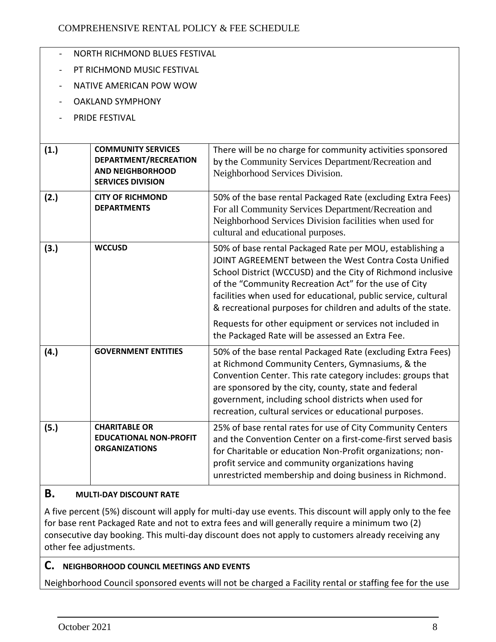# COMPREHENSIVE RENTAL POLICY & FEE SCHEDULE

|      | NORTH RICHMOND BLUES FESTIVAL                                                                             |                                                                                                                                                                                                                                                                                                                                                                                                                                          |  |  |
|------|-----------------------------------------------------------------------------------------------------------|------------------------------------------------------------------------------------------------------------------------------------------------------------------------------------------------------------------------------------------------------------------------------------------------------------------------------------------------------------------------------------------------------------------------------------------|--|--|
|      | PT RICHMOND MUSIC FESTIVAL                                                                                |                                                                                                                                                                                                                                                                                                                                                                                                                                          |  |  |
|      | NATIVE AMERICAN POW WOW                                                                                   |                                                                                                                                                                                                                                                                                                                                                                                                                                          |  |  |
|      | <b>OAKLAND SYMPHONY</b>                                                                                   |                                                                                                                                                                                                                                                                                                                                                                                                                                          |  |  |
|      | PRIDE FESTIVAL                                                                                            |                                                                                                                                                                                                                                                                                                                                                                                                                                          |  |  |
|      |                                                                                                           |                                                                                                                                                                                                                                                                                                                                                                                                                                          |  |  |
| (1.) | <b>COMMUNITY SERVICES</b><br>DEPARTMENT/RECREATION<br><b>AND NEIGHBORHOOD</b><br><b>SERVICES DIVISION</b> | There will be no charge for community activities sponsored<br>by the Community Services Department/Recreation and<br>Neighborhood Services Division.                                                                                                                                                                                                                                                                                     |  |  |
| (2.) | <b>CITY OF RICHMOND</b><br><b>DEPARTMENTS</b>                                                             | 50% of the base rental Packaged Rate (excluding Extra Fees)<br>For all Community Services Department/Recreation and<br>Neighborhood Services Division facilities when used for<br>cultural and educational purposes.                                                                                                                                                                                                                     |  |  |
| (3.) | <b>WCCUSD</b>                                                                                             | 50% of base rental Packaged Rate per MOU, establishing a<br>JOINT AGREEMENT between the West Contra Costa Unified<br>School District (WCCUSD) and the City of Richmond inclusive<br>of the "Community Recreation Act" for the use of City<br>facilities when used for educational, public service, cultural<br>& recreational purposes for children and adults of the state.<br>Requests for other equipment or services not included in |  |  |
|      |                                                                                                           | the Packaged Rate will be assessed an Extra Fee.                                                                                                                                                                                                                                                                                                                                                                                         |  |  |
| (4.) | <b>GOVERNMENT ENTITIES</b>                                                                                | 50% of the base rental Packaged Rate (excluding Extra Fees)<br>at Richmond Community Centers, Gymnasiums, & the<br>Convention Center. This rate category includes: groups that<br>are sponsored by the city, county, state and federal<br>government, including school districts when used for<br>recreation, cultural services or educational purposes.                                                                                 |  |  |
| (5.) | <b>CHARITABLE OR</b><br><b>EDUCATIONAL NON-PROFIT</b><br><b>ORGANIZATIONS</b>                             | 25% of base rental rates for use of City Community Centers<br>and the Convention Center on a first-come-first served basis<br>for Charitable or education Non-Profit organizations; non-<br>profit service and community organizations having<br>unrestricted membership and doing business in Richmond.                                                                                                                                 |  |  |

# **B. MULTI-DAY DISCOUNT RATE**

A five percent (5%) discount will apply for multi-day use events. This discount will apply only to the fee for base rent Packaged Rate and not to extra fees and will generally require a minimum two (2) consecutive day booking. This multi-day discount does not apply to customers already receiving any other fee adjustments.

# **C. NEIGHBORHOOD COUNCIL MEETINGS AND EVENTS**

Neighborhood Council sponsored events will not be charged a Facility rental or staffing fee for the use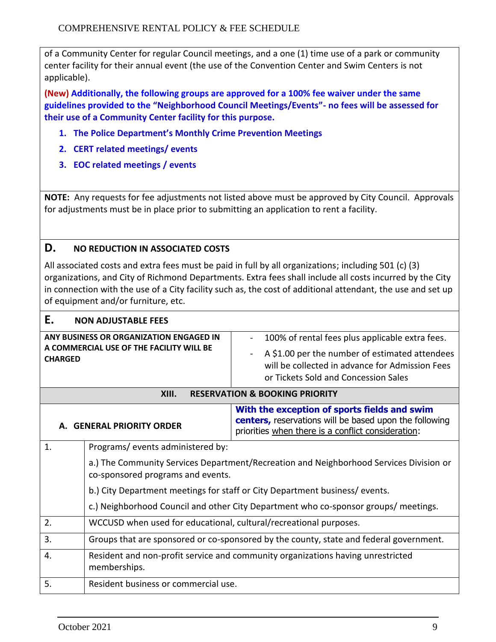of a Community Center for regular Council meetings, and a one (1) time use of a park or community center facility for their annual event (the use of the Convention Center and Swim Centers is not applicable).

**(New) Additionally, the following groups are approved for a 100% fee waiver under the same guidelines provided to the "Neighborhood Council Meetings/Events"- no fees will be assessed for their use of a Community Center facility for this purpose.**

- **1. The Police Department's Monthly Crime Prevention Meetings**
- **2. CERT related meetings/ events**
- **3. EOC related meetings / events**

**NOTE:** Any requests for fee adjustments not listed above must be approved by City Council. Approvals for adjustments must be in place prior to submitting an application to rent a facility.

# **D. NO REDUCTION IN ASSOCIATED COSTS**

All associated costs and extra fees must be paid in full by all organizations; including 501 (c) (3) organizations, and City of Richmond Departments. Extra fees shall include all costs incurred by the City in connection with the use of a City facility such as, the cost of additional attendant, the use and set up of equipment and/or furniture, etc.

| Е.                                                         | <b>NON ADJUSTABLE FEES</b>                                                                                                                                                                |                                                                                                                                                             |  |  |
|------------------------------------------------------------|-------------------------------------------------------------------------------------------------------------------------------------------------------------------------------------------|-------------------------------------------------------------------------------------------------------------------------------------------------------------|--|--|
| ANY BUSINESS OR ORGANIZATION ENGAGED IN                    |                                                                                                                                                                                           | 100% of rental fees plus applicable extra fees.                                                                                                             |  |  |
| A COMMERCIAL USE OF THE FACILITY WILL BE<br><b>CHARGED</b> |                                                                                                                                                                                           | A \$1.00 per the number of estimated attendees<br>$\blacksquare$<br>will be collected in advance for Admission Fees<br>or Tickets Sold and Concession Sales |  |  |
|                                                            | XIII.                                                                                                                                                                                     | <b>RESERVATION &amp; BOOKING PRIORITY</b>                                                                                                                   |  |  |
|                                                            | With the exception of sports fields and swim<br>centers, reservations will be based upon the following<br>A. GENERAL PRIORITY ORDER<br>priorities when there is a conflict consideration: |                                                                                                                                                             |  |  |
| 1.                                                         | Programs/events administered by:                                                                                                                                                          |                                                                                                                                                             |  |  |
|                                                            | a.) The Community Services Department/Recreation and Neighborhood Services Division or<br>co-sponsored programs and events.                                                               |                                                                                                                                                             |  |  |
|                                                            |                                                                                                                                                                                           | b.) City Department meetings for staff or City Department business/events.                                                                                  |  |  |
|                                                            | c.) Neighborhood Council and other City Department who co-sponsor groups/ meetings.                                                                                                       |                                                                                                                                                             |  |  |
| 2.                                                         | WCCUSD when used for educational, cultural/recreational purposes.                                                                                                                         |                                                                                                                                                             |  |  |
| 3.                                                         | Groups that are sponsored or co-sponsored by the county, state and federal government.                                                                                                    |                                                                                                                                                             |  |  |
| 4.                                                         | Resident and non-profit service and community organizations having unrestricted<br>memberships.                                                                                           |                                                                                                                                                             |  |  |
| 5.                                                         | Resident business or commercial use.                                                                                                                                                      |                                                                                                                                                             |  |  |
|                                                            |                                                                                                                                                                                           |                                                                                                                                                             |  |  |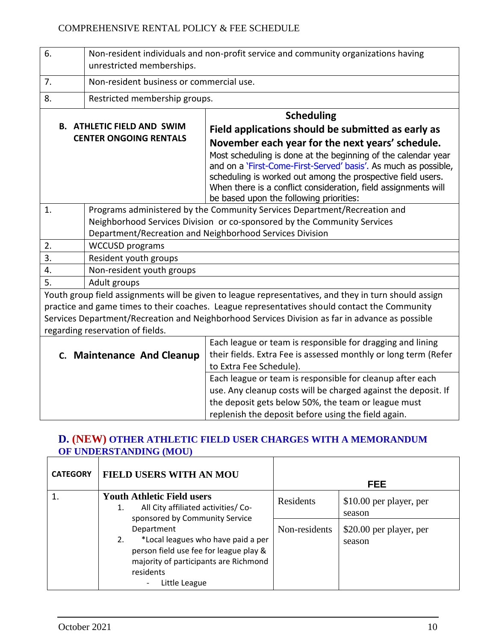| 6.                                                                                                                                                                                                                                                                                                           | Non-resident individuals and non-profit service and community organizations having<br>unrestricted memberships.                                                                                                                           |                                                                                                       |  |  |
|--------------------------------------------------------------------------------------------------------------------------------------------------------------------------------------------------------------------------------------------------------------------------------------------------------------|-------------------------------------------------------------------------------------------------------------------------------------------------------------------------------------------------------------------------------------------|-------------------------------------------------------------------------------------------------------|--|--|
| 7.                                                                                                                                                                                                                                                                                                           | Non-resident business or commercial use.                                                                                                                                                                                                  |                                                                                                       |  |  |
| 8.                                                                                                                                                                                                                                                                                                           | Restricted membership groups.                                                                                                                                                                                                             |                                                                                                       |  |  |
|                                                                                                                                                                                                                                                                                                              | <b>Scheduling</b>                                                                                                                                                                                                                         |                                                                                                       |  |  |
|                                                                                                                                                                                                                                                                                                              | <b>B. ATHLETIC FIELD AND SWIM</b>                                                                                                                                                                                                         | Field applications should be submitted as early as                                                    |  |  |
|                                                                                                                                                                                                                                                                                                              | <b>CENTER ONGOING RENTALS</b>                                                                                                                                                                                                             | November each year for the next years' schedule.                                                      |  |  |
| Most scheduling is done at the beginning of the calendar year<br>and on a 'First-Come-First-Served' basis'. As much as possible,<br>scheduling is worked out among the prospective field users.<br>When there is a conflict consideration, field assignments will<br>be based upon the following priorities: |                                                                                                                                                                                                                                           |                                                                                                       |  |  |
| 1.                                                                                                                                                                                                                                                                                                           | Programs administered by the Community Services Department/Recreation and                                                                                                                                                                 |                                                                                                       |  |  |
|                                                                                                                                                                                                                                                                                                              | Neighborhood Services Division or co-sponsored by the Community Services                                                                                                                                                                  |                                                                                                       |  |  |
|                                                                                                                                                                                                                                                                                                              | Department/Recreation and Neighborhood Services Division                                                                                                                                                                                  |                                                                                                       |  |  |
| 2.                                                                                                                                                                                                                                                                                                           | <b>WCCUSD</b> programs                                                                                                                                                                                                                    |                                                                                                       |  |  |
| 3.                                                                                                                                                                                                                                                                                                           | Resident youth groups                                                                                                                                                                                                                     |                                                                                                       |  |  |
| 4.                                                                                                                                                                                                                                                                                                           | Non-resident youth groups                                                                                                                                                                                                                 |                                                                                                       |  |  |
| 5.                                                                                                                                                                                                                                                                                                           | Adult groups                                                                                                                                                                                                                              |                                                                                                       |  |  |
|                                                                                                                                                                                                                                                                                                              |                                                                                                                                                                                                                                           | Youth group field assignments will be given to league representatives, and they in turn should assign |  |  |
|                                                                                                                                                                                                                                                                                                              |                                                                                                                                                                                                                                           | practice and game times to their coaches. League representatives should contact the Community         |  |  |
|                                                                                                                                                                                                                                                                                                              |                                                                                                                                                                                                                                           | Services Department/Recreation and Neighborhood Services Division as far in advance as possible       |  |  |
|                                                                                                                                                                                                                                                                                                              | regarding reservation of fields.                                                                                                                                                                                                          |                                                                                                       |  |  |
|                                                                                                                                                                                                                                                                                                              | Each league or team is responsible for dragging and lining<br>their fields. Extra Fee is assessed monthly or long term (Refer<br>C. Maintenance And Cleanup<br>to Extra Fee Schedule).                                                    |                                                                                                       |  |  |
|                                                                                                                                                                                                                                                                                                              | Each league or team is responsible for cleanup after each<br>use. Any cleanup costs will be charged against the deposit. If<br>the deposit gets below 50%, the team or league must<br>replenish the deposit before using the field again. |                                                                                                       |  |  |

#### <span id="page-13-0"></span>**D. (NEW) OTHER ATHLETIC FIELD USER CHARGES WITH A MEMORANDUM OF UNDERSTANDING (MOU)**  $\top$

| <b>CATEGORY</b> | <b>FIELD USERS WITH AN MOU</b>                                                                                                                                          |               | FEE.                              |
|-----------------|-------------------------------------------------------------------------------------------------------------------------------------------------------------------------|---------------|-----------------------------------|
|                 | <b>Youth Athletic Field users</b><br>All City affiliated activities/ Co-<br>1.<br>sponsored by Community Service                                                        | Residents     | \$10.00 per player, per<br>season |
|                 | Department<br>*Local leagues who have paid a per<br>2.<br>person field use fee for league play &<br>majority of participants are Richmond<br>residents<br>Little League | Non-residents | \$20.00 per player, per<br>season |

 $\mathsf{r}$ 

 $\mathbf{L}$